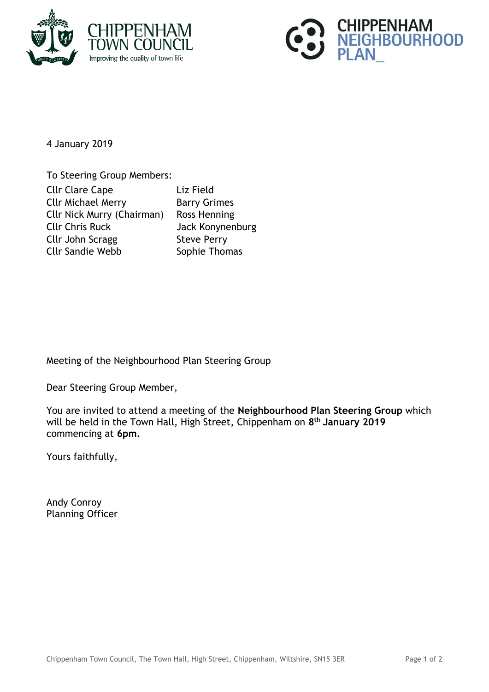



4 January 2019

To Steering Group Members: Cllr Clare Cape Liz Field Cllr Michael Merry **Barry Grimes** Cllr Nick Murry (Chairman) Ross Henning Cllr Chris Ruck Jack Konynenburg Cllr John Scragg Steve Perry Cllr Sandie Webb Sophie Thomas

Meeting of the Neighbourhood Plan Steering Group

Dear Steering Group Member,

You are invited to attend a meeting of the **Neighbourhood Plan Steering Group** which will be held in the Town Hall, High Street, Chippenham on **8 th January 2019** commencing at **6pm.**

Yours faithfully,

Andy Conroy Planning Officer